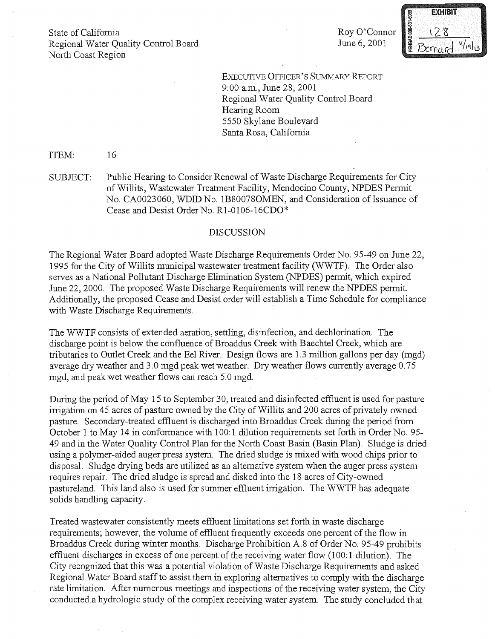State of California Regional Water Quality Control Board North Coast Region

Roy O'Connor June 6, 2001



EXECUTIVE OFFICER'S SUMMARY REPORT 9:00 a.m., June 28,2001 Regional Water Quality Control Board Hearing Room 5550 Skylane Boulevard Santa Rosa, California

ITEM: 16

SUBJECT: Public Hearing to Consider Renewal of Waste Discharge Requirements for City of Willits, Wastewater Treatment Facility, Mendocino County, NPDES Permit No. CA0023060, WDID No. 1B80078OMEN, and Consideration of Issuance of Cease and Desist Order No. RI-0106-16CDO\*

## DISCUSSION

The Regional Water Board adopted Waste Discharge Requirements Order No. 95-49 on June 22, 1995 for the City of Willits municipal wastewater treatment facility (WWTF). The Order also serves as a National Pollutant Discharge Elimination System (NPDES) permit, which expired June 22, 2000. The proposed Waste Discharge Requirements will renew the NPDES permit. Additionally, the proposed Cease and Desist order will establish a Time Schedule for compliance with Waste Discharge Requirements.

The WWTF consists of extended aeration, settling, disinfection, and dechlorination. The discharge point is below the confluence of Broaddus Creek with Baechtel Creek, which are tributaries to Outlet Creek and the Eel River. Design flows are 1.3 million gallons per day (mgd) average dry weather and 3.0 mgd peak wet weather. Dry weather flows currently average 0.75 mgd, and peak wet weather flows can reach 5.0 mgd.

During the period of May 15 to September 30, treated and disinfected effluent is used for pasture irrigation on 45 acres of pasture owned by the City of Willits and 200 acres of privately owned pasture. Secondary-treated effluent is discharged into Broaddus Creek during the period from October 1 to May 14 in conformance with 100:1 dilution requirements set forth in Order No. 95-49 and in the Water Quality Control Plan for the North Coast Basin (Basin Plan). Sludge is dried using a polymer-aided auger press system. The dried sludge is mixed with wood chips prior to disposa1. Sludge drying beds are utilized as an alternative system when the auger press system requires repair. The fiied sludge is spread and disked into the 18 acres of City-owned pastureland. This land also is used for summer effluent irrigation. The WWTF has adequate solids handling capacity.

Treated wastewater consistently meets effluent limitations set forth in waste discharge requirements; however, the volume of effluent frequently exceeds one percent of the flow in Broaddus Creek during winter months. Discharge Prohibition A.S of Order No. 95-49 prohibits effluent discharges in excess of one percent of the receiving water flow (100: 1 dilution). The City recognized that this was a potential violation of Waste Discharge Requirements and asked Regional Water Board staff to assist them in exploring alternatives to comply with the discharge rate limitation. After numerous meetings and inspections of the receiving water system, the City conducted a hydrologic study of the complex receiving water system. The study concluded that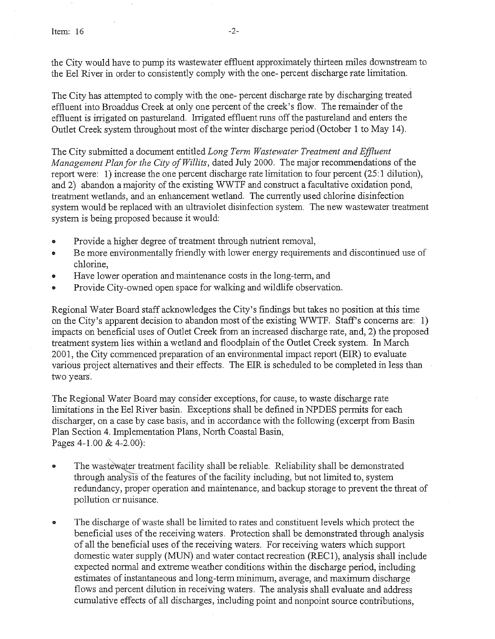Item:  $16$  -2-

the City would have to pump its wastewater effluent approximately thirteen miles downstream to the Eel River in order to consistently comply with the one- percent discharge rate limitation.

The City has attempted to comply with the one- percent discharge rate by discharging treated effluent into Broaddus Creek at only one percent of the creek's flow. The remainder of the effluent is inigated on pastureland. Irrigated effluent runs off the pastureland and enters the Outlet Creek system throughout most of the winter discharge period (October 1 to May 14).

The City submitted a document entitled *Long Term Wastewater Treatment and Effluent Management Plan for the City of Willits,* dated July 2000. The major recommendations of the report were: 1) increase the one percent discharge rate limitation to four percent (25:1 dilution), and 2) abandon a majority of the existing WWTF and construct a facultative oxidation pond, treatment wetlands, and an enhancement wetland. The currently used chlorine disinfection system would be replaced with an ultraviolet disinfection system. The new wastewater treatment system is being proposed because it would:

- Provide a higher degree of treatment through nutrient removal,
- Be more environmentally friendly with lower energy requirements and discontinued use of chlorine,
- Have lower operation and maintenance costs in the long-term, and
- Provide City-owned open space for walking and wildlife observation.

Regional Water Board staff acknowledges the City's findings but takes no position at this time on the City's apparent decision to abandon most of the existing WWTF. Staff's concerns are: 1) impacts on beneficial uses of Outlet Creek from an increased discharge rate, and, 2) the proposed treatment system lies within a wetland and floodplain of the Outlet Creek system. In March 2001, the City commenced preparation of an environmental impact report (EIR) to evaluate various project alternatives and their effects. The EIR is scheduled to be completed in less than two years.

The Regional Water Board may consider exceptions, for cause, to waste discharge rate limitations in the Eel River basin. Exceptions shall be defmed in NPDES permits for each discharger, on a case by case basis, and in accordance with the following (excerpt from Basin Plan Section 4. Implementation Plans, North Coastal Basin, Pages 4-1.00 & 4-2.00):

- The wastewater treatment facility shall be reliable. Reliability shall be demonstrated through analysis of the features of the facility including, but not limited to, system redundancy, proper operation and maintenance, and backup storage to prevent the threat of pollution or nuisance.
- The discharge of waste shall be limited to rates and constituent levels which protect the beneficial uses of the receiving waters. Protection shall be demonstrated through analysis of all the beneficial uses of the receiving waters. For receiving waters which support domestic water supply (MUN) and water contact recreation (REC 1), analysis shall include expected normal and extreme weather conditions within the discharge period, including estimates of instantaneous and long-term minimum, average, and maximum discharge flows and percent dilution in receiving waters. The analysis shall evaluate and address cumulative effects of all discharges, including point and nonpoint source contributions,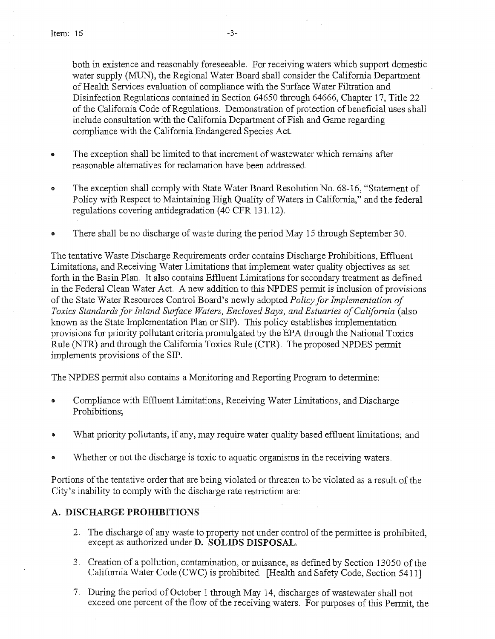both in existence and reasonably foreseeable. For receiving waters which support domestic water supply (MUN), the Regional Water Board shall consider the California Department of Health Services evaluation of compliance with the Surface Water Filtration and Disinfection Regulations contained in Section 64650 through 64666, Chapter 17, Title 22 of the California Code of Regulations. Demonstration of protection of beneficial uses shall include consultation with the California Department of Fish and Game regarding compliance with the California Endangered Species Act.

- The exception shall be limited to that increment of wastewater which remains after reasonable alternatives for reclamation have been addressed.
- The exception shall comply with State Water Board Resolution No. 68-16, "Statement of Policy with Respect to Maintaining High Quality of Waters in California," and the federal regulations covering antidegradation (40 CFR 131.12).
- There shall be no discharge of waste during the period May 15 through September 30.

The tentative Waste Discharge Requirements order contains Discharge Prohibitions, Effluent Limitations, and Receiving Water Limitations that implement water quality objectives as set forth in the Basin Plan. It also contains Effluent Limitations for secondary treatment as defined in the Federal Clean Water Act. A new addition to this NPDES permit is inclusion of provisions of the State Water Resources Control Board's newly adopted *Policy for Implementation of Toxics Standards for Inland Surface Waters, Enclosed Bays, and Estuaries of California (also* known as the State Implementation Plan or SIP). This policy establishes implementation provisions for priority pollutant criteria promulgated by the EPA through the National Toxics Rule (NTR) and through the California Toxics Rule (CTR). The proposed NPDES permit implements provisions of the SIP.

The NPDES permit also contains a Monitoring and Reporting Program to determine:

- Compliance with Effluent Limitations, Receiving Water Limitations, and Discharge Prohibitions;
- What priority pollutants, if any, may require water quality based effluent limitations; and
- Whether or not the discharge is toxic to aquatic organisms in the receiving waters.

Portions of the tentative order that are being violated or threaten to be violated as a result of the City's inability to comply with the discharge rate restriction are:

## A. DISCHARGE PROHIBITIONS

- 2. The discharge of any waste to property not under control of the permittee is prohibited, except as authorized under D. SOLIDS DISPOSAL.
- 3. Creation of a pollution, contamination, or nuisance, as defined by Section 13050 of the California Water Code (CWC) is prohibited. [Health and Safety Code, Section 5411]
- 7. During the period of October 1 through May 14, discharges of wastewater shall not exceed one percent of the flow of the receiving waters. For purposes of this Permit, the